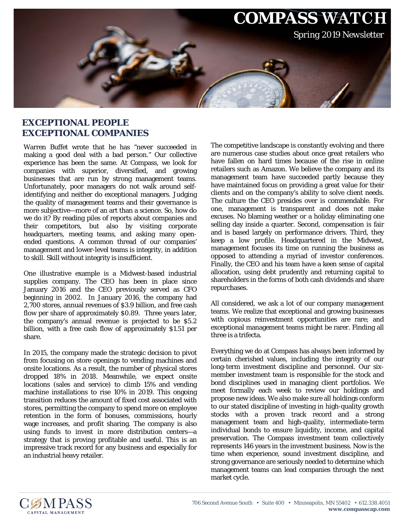

## **EXCEPTIONAL PEOPLE EXCEPTIONAL COMPANIES**

Warren Buffet wrote that he has "never succeeded in making a good deal with a bad person." Our collective experience has been the same. At Compass, we look for companies with superior, diversified, and growing businesses that are run by strong management teams. Unfortunately, poor managers do not walk around selfidentifying and neither do exceptional managers. Judging the quality of management teams and their governance is more subjective—more of an art than a science. So, how do we do it? By reading piles of reports about companies and their competitors, but also by visiting corporate headquarters, meeting teams, and asking many openended questions. A common thread of our companies' management and lower-level teams is integrity, in addition to skill. Skill without integrity is insufficient.

One illustrative example is a Midwest-based industrial supplies company. The CEO has been in place since January 2016 and the CEO previously served as CFO beginning in 2002. In January 2016, the company had 2,700 stores, annual revenues of \$3.9 billion, and free cash flow per share of approximately \$0.89. Three years later, the company's annual revenue is projected to be \$5.2 billion, with a free cash flow of approximately \$1.51 per share.

In 2015, the company made the strategic decision to pivot from focusing on store openings to vending machines and onsite locations. As a result, the number of physical stores dropped 18% in 2018. Meanwhile, we expect onsite locations (sales and service) to climb 15% and vending machine installations to rise 10% in 2019. This ongoing transition reduces the amount of fixed cost associated with stores, permitting the company to spend more on employee retention in the form of bonuses, commissions, hourly wage increases, and profit sharing. The company is also using funds to invest in more distribution centers—a strategy that is proving profitable and useful. This is an impressive track record for any business and especially for an industrial heavy retailer.

The competitive landscape is constantly evolving and there are numerous case studies about once great retailers who have fallen on hard times because of the rise in online retailers such as Amazon. We believe the company and its management team have succeeded partly because they have maintained focus on providing a great value for their clients and on the company's ability to solve client needs. The culture the CEO presides over is commendable. For one, management is transparent and does not make excuses. No blaming weather or a holiday eliminating one selling day inside a quarter. Second, compensation is fair and is based largely on performance drivers. Third, they keep a low profile. Headquartered in the Midwest, management focuses its time on running the business as opposed to attending a myriad of investor conferences. Finally, the CEO and his team have a keen sense of capital allocation, using debt prudently and returning capital to shareholders in the forms of both cash dividends and share repurchases.

All considered, we ask a lot of our company management teams. We realize that exceptional and growing businesses with copious reinvestment opportunities are rare; and exceptional management teams might be rarer. Finding all three is a trifecta.

Everything we do at Compass has always been informed by certain cherished values, including the integrity of our long-term investment discipline and personnel. Our sixmember investment team is responsible for the stock and bond disciplines used in managing client portfolios. We meet formally each week to review our holdings and propose new ideas. We also make sure all holdings conform to our stated discipline of investing in high-quality growth *stocks* with a proven track record and a strong management team and high-quality, intermediate-term individual *bonds* to ensure liquidity, income, and capital preservation. The Compass investment team collectively represents 146 years in the investment business. Now is the time when experience, sound investment discipline, and strong governance are seriously needed to determine which management teams can lead companies through the next market cycle.